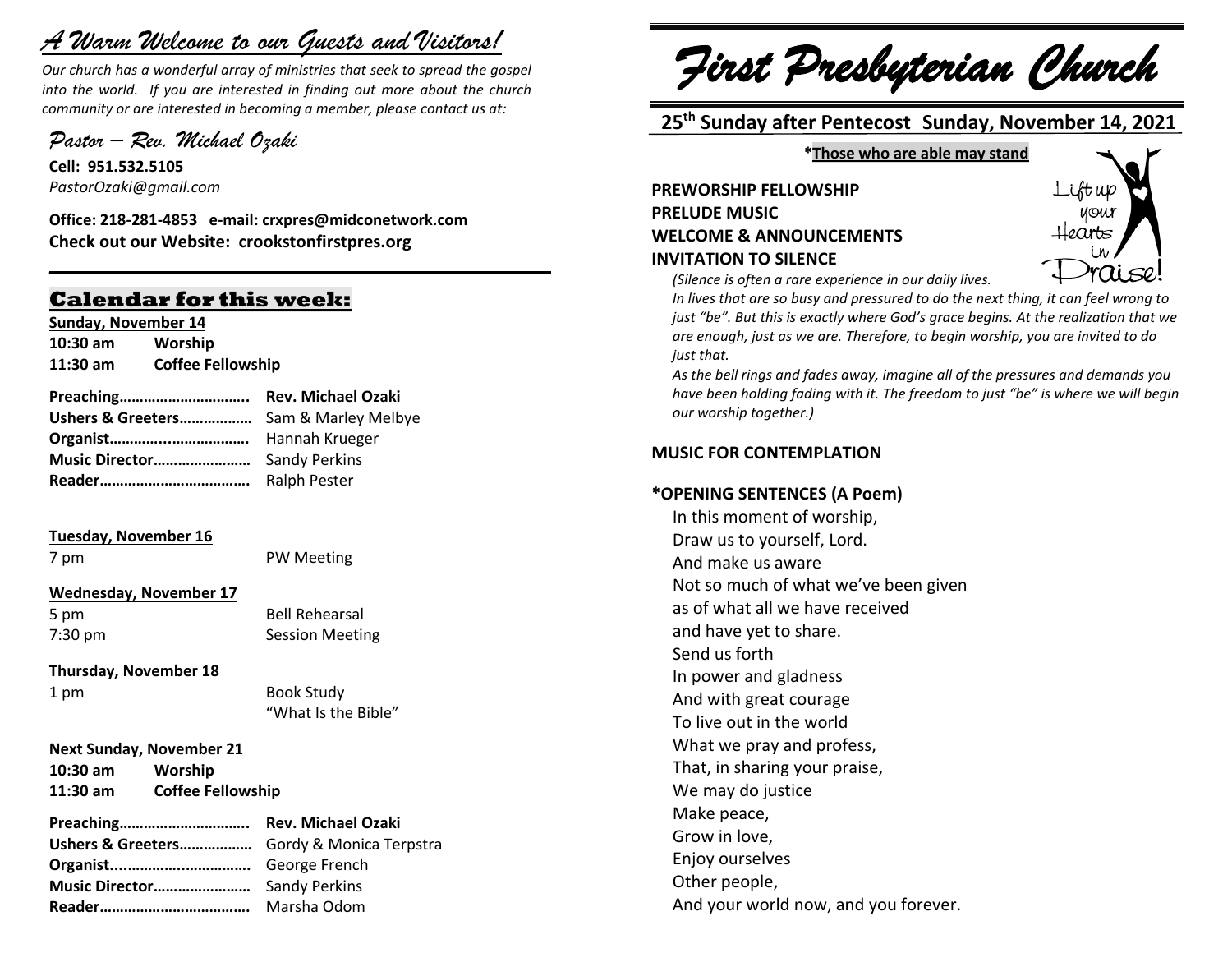# *A Warm Welcome to our Guests and Visitors!*

*Our church has a wonderful array of ministries that seek to spread the gospel into the world. If you are interested in finding out more about the church community or are interested in becoming a member, please contact us at:*

**\_\_\_\_\_\_\_\_\_\_\_\_\_\_\_\_\_\_\_\_\_\_\_\_\_\_\_\_\_\_\_\_\_\_\_\_\_\_\_\_\_\_\_\_\_\_\_\_\_\_\_\_\_\_**

*Pastor – Rev. Michael Ozaki* 

**Cell: 951.532.5105** *PastorOzaki@gmail.com*

**Office: 218-281-4853 e-mail: crxpres@midconetwork.com Check out our Website: crookstonfirstpres.org**

# **Calendar for this week:**

**Sunday, November 14 10:30 am Worship 11:30 am Coffee Fellowship**

| Ushers & Greeters Sam & Marley Melbye |  |
|---------------------------------------|--|
|                                       |  |
|                                       |  |
|                                       |  |

#### **Tuesday, November 16**

7 pm PW Meeting

#### **Wednesday, November 17**

5 pm Bell Rehearsal 7:30 pm Session Meeting

**Thursday, November 18**

1 pm Book Study "What Is the Bible"

#### **Next Sunday, November 21**

**10:30 am Worship 11:30 am Coffee Fellowship** 

**Preaching………………………….. Rev. Michael Ozaki Ushers & Greeters………………** Gordy & Monica Terpstra **Organist....…………..…………….** George French **Music Director……………………** Sandy Perkins **Reader……………………………….** Marsha Odom

*First Presbyterian Church*

# **25th Sunday after Pentecost Sunday, November 14, 2021**

**\*Those who are able may stand**

**PREWORSHIP FELLOWSHIP PRELUDE MUSIC WELCOME & ANNOUNCEMENTS INVITATION TO SILENCE**



*(Silence is often a rare experience in our daily lives.*

*In lives that are so busy and pressured to do the next thing, it can feel wrong to just "be". But this is exactly where God's grace begins. At the realization that we are enough, just as we are. Therefore, to begin worship, you are invited to do just that.*

*As the bell rings and fades away, imagine all of the pressures and demands you have been holding fading with it. The freedom to just "be" is where we will begin our worship together.)*

#### **MUSIC FOR CONTEMPLATION**

#### **\*OPENING SENTENCES (A Poem)**

In this moment of worship, Draw us to yourself, Lord. And make us aware Not so much of what we've been given as of what all we have received and have yet to share. Send us forth In power and gladness And with great courage To live out in the world What we pray and profess, That, in sharing your praise, We may do justice Make peace, Grow in love, Enjoy ourselves Other people, And your world now, and you forever.